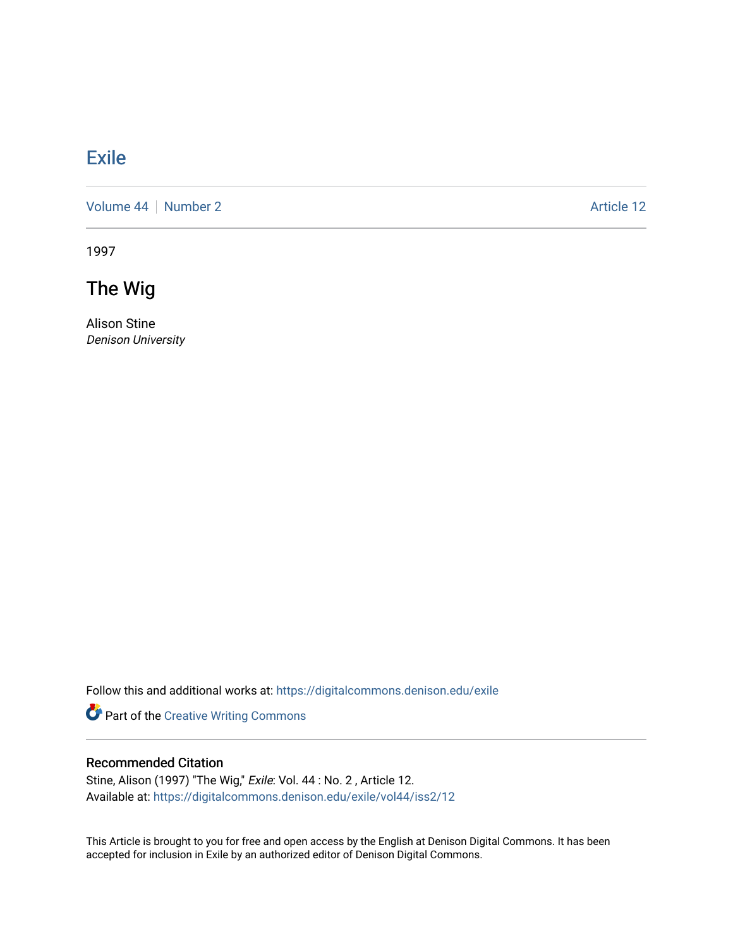# [Exile](https://digitalcommons.denison.edu/exile)

[Volume 44](https://digitalcommons.denison.edu/exile/vol44) | [Number 2](https://digitalcommons.denison.edu/exile/vol44/iss2) Article 12

1997

The Wig

Alison Stine Denison University

Follow this and additional works at: [https://digitalcommons.denison.edu/exile](https://digitalcommons.denison.edu/exile?utm_source=digitalcommons.denison.edu%2Fexile%2Fvol44%2Fiss2%2F12&utm_medium=PDF&utm_campaign=PDFCoverPages) 

Part of the [Creative Writing Commons](http://network.bepress.com/hgg/discipline/574?utm_source=digitalcommons.denison.edu%2Fexile%2Fvol44%2Fiss2%2F12&utm_medium=PDF&utm_campaign=PDFCoverPages) 

### Recommended Citation

Stine, Alison (1997) "The Wig," Exile: Vol. 44 : No. 2 , Article 12. Available at: [https://digitalcommons.denison.edu/exile/vol44/iss2/12](https://digitalcommons.denison.edu/exile/vol44/iss2/12?utm_source=digitalcommons.denison.edu%2Fexile%2Fvol44%2Fiss2%2F12&utm_medium=PDF&utm_campaign=PDFCoverPages)

This Article is brought to you for free and open access by the English at Denison Digital Commons. It has been accepted for inclusion in Exile by an authorized editor of Denison Digital Commons.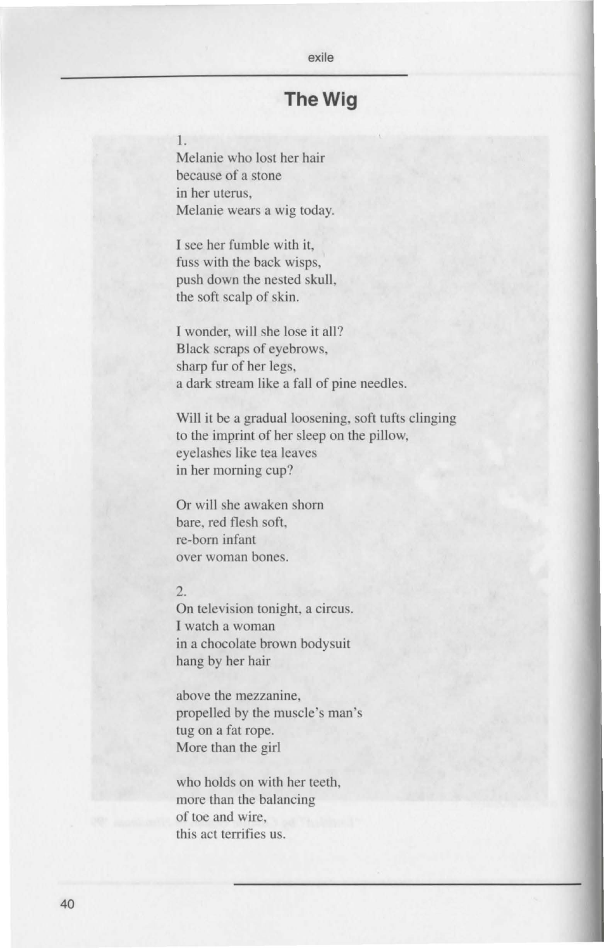## exile

### **The Wig**

### I.

Melanie who lost her hair because of a stone in her uterus, Melanie wears a wig today.

I see her fumble with it, fuss with the back wisps, push down the nested skull, the soft scalp of skin.

I wonder, will she lose it all? Black scraps of eyebrows, harp fur of her legs, a dark stream like a fall of pine needles.

Will it be a gradual loosening, soft tufts clinging to the imprint of her sleep on the pillow, eyelashes like tea leaves in her morning cup?

Or will she awaken shorn bare, red flesh soft, re-born infant over woman bones.

### 2.

On television tonight, a circu I watch a woman in a chocolate brown bodysuit hang by her hair

above the mezzanine, propelled by the muscle's man 's tug on a fat rope. More than the girl

who holds on with her teeth, more than the balancing of toe and wire, this act terrifies us.